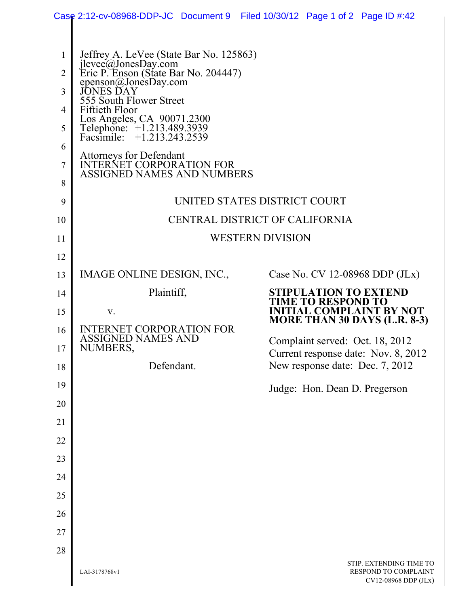|                                                                               | Case 2:12-cv-08968-DDP-JC Document 9 Filed 10/30/12 Page 1 of 2 Page ID #:42                                                                                                                                                                                                                                                                               |                                                                |                         |                                                                                                                                                                                                               |                                                 |                      |
|-------------------------------------------------------------------------------|------------------------------------------------------------------------------------------------------------------------------------------------------------------------------------------------------------------------------------------------------------------------------------------------------------------------------------------------------------|----------------------------------------------------------------|-------------------------|---------------------------------------------------------------------------------------------------------------------------------------------------------------------------------------------------------------|-------------------------------------------------|----------------------|
| $\mathbf{1}$<br>$\overline{2}$<br>3<br>4<br>5<br>6<br>7<br>8<br>9<br>10<br>11 | Jeffrey A. LeVee (State Bar No. 125863)<br>jlevee@JonesDay.com<br>Eric P. Enson (State Bar No. 204447)<br>epenson@JonesDay.com<br>555 South Flower Street<br>Fiftieth Floor<br>Los Angeles, CA 90071.2300<br>Telephone: +1.213.489.3939<br>Facsimile: +1.213.243.2539<br>Attorneys for Defendant<br>INTERNET CORPORATION FOR<br>ASSIGNED NAMES AND NUMBERS | UNITED STATES DISTRICT COURT<br>CENTRAL DISTRICT OF CALIFORNIA | <b>WESTERN DIVISION</b> |                                                                                                                                                                                                               |                                                 |                      |
| 12                                                                            |                                                                                                                                                                                                                                                                                                                                                            |                                                                |                         |                                                                                                                                                                                                               |                                                 |                      |
| 13                                                                            | IMAGE ONLINE DESIGN, INC.,                                                                                                                                                                                                                                                                                                                                 |                                                                |                         | Case No. CV 12-08968 DDP (JLx)                                                                                                                                                                                |                                                 |                      |
| 14                                                                            | Plaintiff,                                                                                                                                                                                                                                                                                                                                                 |                                                                |                         | <b>STIPULATION TO EXTEND</b><br>ME TO RESPOND TO                                                                                                                                                              |                                                 |                      |
| 15<br>16<br>17<br>18<br>19                                                    | V.<br><b>INTERNET CORPORATION FOR</b><br><b>ASSIGNED NAMES AND</b><br>NUMBERS,<br>Defendant.                                                                                                                                                                                                                                                               |                                                                |                         | <b>INITIAL COMPLAINT BY NOT</b><br>MORE THAN 30 DAYS (L.R. 8-3)<br>Complaint served: Oct. 18, 2012<br>Current response date: Nov. 8, 2012<br>New response date: Dec. 7, 2012<br>Judge: Hon. Dean D. Pregerson |                                                 |                      |
| 20<br>21                                                                      |                                                                                                                                                                                                                                                                                                                                                            |                                                                |                         |                                                                                                                                                                                                               |                                                 |                      |
| 22                                                                            |                                                                                                                                                                                                                                                                                                                                                            |                                                                |                         |                                                                                                                                                                                                               |                                                 |                      |
| 23                                                                            |                                                                                                                                                                                                                                                                                                                                                            |                                                                |                         |                                                                                                                                                                                                               |                                                 |                      |
| 24                                                                            |                                                                                                                                                                                                                                                                                                                                                            |                                                                |                         |                                                                                                                                                                                                               |                                                 |                      |
| 25                                                                            |                                                                                                                                                                                                                                                                                                                                                            |                                                                |                         |                                                                                                                                                                                                               |                                                 |                      |
| 26                                                                            |                                                                                                                                                                                                                                                                                                                                                            |                                                                |                         |                                                                                                                                                                                                               |                                                 |                      |
| 27                                                                            |                                                                                                                                                                                                                                                                                                                                                            |                                                                |                         |                                                                                                                                                                                                               |                                                 |                      |
| 28                                                                            |                                                                                                                                                                                                                                                                                                                                                            |                                                                |                         |                                                                                                                                                                                                               |                                                 |                      |
|                                                                               | LAI-3178768v1                                                                                                                                                                                                                                                                                                                                              |                                                                |                         |                                                                                                                                                                                                               | STIP. EXTENDING TIME TO<br>RESPOND TO COMPLAINT | CV12-08968 DDP (JLx) |